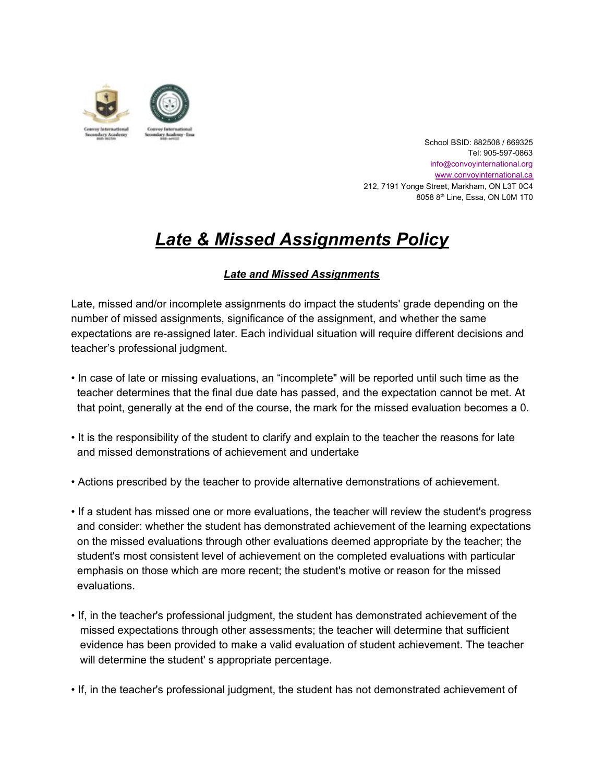

School BSID: 882508 / 669325 Tel: 905-597-0863 info@convoyinternational.org [www.convoyinternational.c](http://www.convoyinternational.org/)a 212, 7191 Yonge Street, Markham, ON L3T 0C4 8058 8<sup>th</sup> Line, Essa, ON L0M 1T0

## *Late & Missed Assignments Policy*

## *Late and Missed Assignments*

Late, missed and/or incomplete assignments do impact the students' grade depending on the number of missed assignments, significance of the assignment, and whether the same expectations are re-assigned later. Each individual situation will require different decisions and teacher's professional judgment.

- In case of late or missing evaluations, an "incomplete" will be reported until such time as the teacher determines that the final due date has passed, and the expectation cannot be met. At that point, generally at the end of the course, the mark for the missed evaluation becomes a 0.
- It is the responsibility of the student to clarify and explain to the teacher the reasons for late and missed demonstrations of achievement and undertake
- Actions prescribed by the teacher to provide alternative demonstrations of achievement.
- If a student has missed one or more evaluations, the teacher will review the student's progress and consider: whether the student has demonstrated achievement of the learning expectations on the missed evaluations through other evaluations deemed appropriate by the teacher; the student's most consistent level of achievement on the completed evaluations with particular emphasis on those which are more recent; the student's motive or reason for the missed evaluations.
- If, in the teacher's professional judgment, the student has demonstrated achievement of the missed expectations through other assessments; the teacher will determine that sufficient evidence has been provided to make a valid evaluation of student achievement. The teacher will determine the student's appropriate percentage.
- If, in the teacher's professional judgment, the student has not demonstrated achievement of